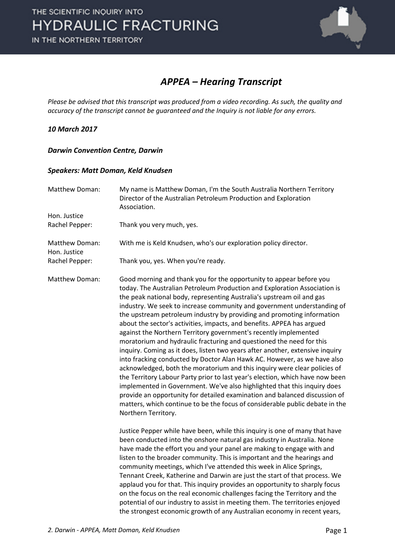

### *APPEA – Hearing Transcript*

*Please be advised that this transcript was produced from a video recording. As such, the quality and accuracy of the transcript cannot be guaranteed and the Inquiry is not liable for any errors.*

#### *10 March 2017*

#### *Darwin Convention Centre, Darwin*

#### *Speakers: Matt Doman, Keld Knudsen*

| Matthew Doman:                 | My name is Matthew Doman, I'm the South Australia Northern Territory<br>Director of the Australian Petroleum Production and Exploration<br>Association.                                                                                                                                                                                                                                                                                                                                                                                                                                                                                                                                                                                                                                                                                                                                                                                                                                                                                                                                                                                                                                          |
|--------------------------------|--------------------------------------------------------------------------------------------------------------------------------------------------------------------------------------------------------------------------------------------------------------------------------------------------------------------------------------------------------------------------------------------------------------------------------------------------------------------------------------------------------------------------------------------------------------------------------------------------------------------------------------------------------------------------------------------------------------------------------------------------------------------------------------------------------------------------------------------------------------------------------------------------------------------------------------------------------------------------------------------------------------------------------------------------------------------------------------------------------------------------------------------------------------------------------------------------|
| Hon. Justice                   |                                                                                                                                                                                                                                                                                                                                                                                                                                                                                                                                                                                                                                                                                                                                                                                                                                                                                                                                                                                                                                                                                                                                                                                                  |
| Rachel Pepper:                 | Thank you very much, yes.                                                                                                                                                                                                                                                                                                                                                                                                                                                                                                                                                                                                                                                                                                                                                                                                                                                                                                                                                                                                                                                                                                                                                                        |
| Matthew Doman:<br>Hon. Justice | With me is Keld Knudsen, who's our exploration policy director.                                                                                                                                                                                                                                                                                                                                                                                                                                                                                                                                                                                                                                                                                                                                                                                                                                                                                                                                                                                                                                                                                                                                  |
| Rachel Pepper:                 | Thank you, yes. When you're ready.                                                                                                                                                                                                                                                                                                                                                                                                                                                                                                                                                                                                                                                                                                                                                                                                                                                                                                                                                                                                                                                                                                                                                               |
| Matthew Doman:                 | Good morning and thank you for the opportunity to appear before you<br>today. The Australian Petroleum Production and Exploration Association is<br>the peak national body, representing Australia's upstream oil and gas<br>industry. We seek to increase community and government understanding of<br>the upstream petroleum industry by providing and promoting information<br>about the sector's activities, impacts, and benefits. APPEA has argued<br>against the Northern Territory government's recently implemented<br>moratorium and hydraulic fracturing and questioned the need for this<br>inquiry. Coming as it does, listen two years after another, extensive inquiry<br>into fracking conducted by Doctor Alan Hawk AC. However, as we have also<br>acknowledged, both the moratorium and this inquiry were clear policies of<br>the Territory Labour Party prior to last year's election, which have now been<br>implemented in Government. We've also highlighted that this inquiry does<br>provide an opportunity for detailed examination and balanced discussion of<br>matters, which continue to be the focus of considerable public debate in the<br>Northern Territory. |
|                                | Justice Pepper while have been, while this inquiry is one of many that have<br>been conducted into the onshore natural gas industry in Australia. None<br>have made the effort you and your panel are making to engage with and<br>listen to the broader community. This is important and the hearings and<br>community meetings, which I've attended this week in Alice Springs,<br>Tennant Creek, Katherine and Darwin are just the start of that process. We<br>applaud you for that. This inquiry provides an opportunity to sharply focus<br>on the focus on the real economic challenges facing the Territory and the<br>potential of our industry to assist in meeting them. The territories enjoyed<br>the strongest economic growth of any Australian economy in recent years,                                                                                                                                                                                                                                                                                                                                                                                                          |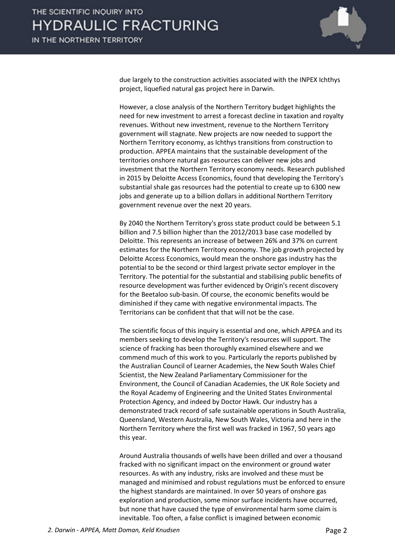

due largely to the construction activities associated with the INPEX Ichthys project, liquefied natural gas project here in Darwin.

However, a close analysis of the Northern Territory budget highlights the need for new investment to arrest a forecast decline in taxation and royalty revenues. Without new investment, revenue to the Northern Territory government will stagnate. New projects are now needed to support the Northern Territory economy, as Ichthys transitions from construction to production. APPEA maintains that the sustainable development of the territories onshore natural gas resources can deliver new jobs and investment that the Northern Territory economy needs. Research published in 2015 by Deloitte Access Economics, found that developing the Territory's substantial shale gas resources had the potential to create up to 6300 new jobs and generate up to a billion dollars in additional Northern Territory government revenue over the next 20 years.

By 2040 the Northern Territory's gross state product could be between 5.1 billion and 7.5 billion higher than the 2012/2013 base case modelled by Deloitte. This represents an increase of between 26% and 37% on current estimates for the Northern Territory economy. The job growth projected by Deloitte Access Economics, would mean the onshore gas industry has the potential to be the second or third largest private sector employer in the Territory. The potential for the substantial and stabilising public benefits of resource development was further evidenced by Origin's recent discovery for the Beetaloo sub-basin. Of course, the economic benefits would be diminished if they came with negative environmental impacts. The Territorians can be confident that that will not be the case.

The scientific focus of this inquiry is essential and one, which APPEA and its members seeking to develop the Territory's resources will support. The science of fracking has been thoroughly examined elsewhere and we commend much of this work to you. Particularly the reports published by the Australian Council of Learner Academies, the New South Wales Chief Scientist, the New Zealand Parliamentary Commissioner for the Environment, the Council of Canadian Academies, the UK Role Society and the Royal Academy of Engineering and the United States Environmental Protection Agency, and indeed by Doctor Hawk. Our industry has a demonstrated track record of safe sustainable operations in South Australia, Queensland, Western Australia, New South Wales, Victoria and here in the Northern Territory where the first well was fracked in 1967, 50 years ago this year.

Around Australia thousands of wells have been drilled and over a thousand fracked with no significant impact on the environment or ground water resources. As with any industry, risks are involved and these must be managed and minimised and robust regulations must be enforced to ensure the highest standards are maintained. In over 50 years of onshore gas exploration and production, some minor surface incidents have occurred, but none that have caused the type of environmental harm some claim is inevitable. Too often, a false conflict is imagined between economic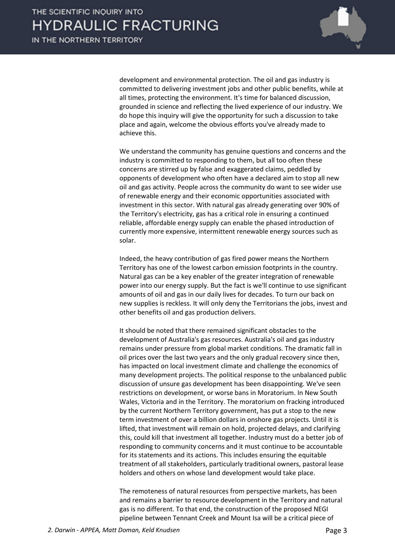

development and environmental protection. The oil and gas industry is committed to delivering investment jobs and other public benefits, while at all times, protecting the environment. It's time for balanced discussion, grounded in science and reflecting the lived experience of our industry. We do hope this inquiry will give the opportunity for such a discussion to take place and again, welcome the obvious efforts you've already made to achieve this.

We understand the community has genuine questions and concerns and the industry is committed to responding to them, but all too often these concerns are stirred up by false and exaggerated claims, peddled by opponents of development who often have a declared aim to stop all new oil and gas activity. People across the community do want to see wider use of renewable energy and their economic opportunities associated with investment in this sector. With natural gas already generating over 90% of the Territory's electricity, gas has a critical role in ensuring a continued reliable, affordable energy supply can enable the phased introduction of currently more expensive, intermittent renewable energy sources such as solar.

Indeed, the heavy contribution of gas fired power means the Northern Territory has one of the lowest carbon emission footprints in the country. Natural gas can be a key enabler of the greater integration of renewable power into our energy supply. But the fact is we'll continue to use significant amounts of oil and gas in our daily lives for decades. To turn our back on new supplies is reckless. It will only deny the Territorians the jobs, invest and other benefits oil and gas production delivers.

It should be noted that there remained significant obstacles to the development of Australia's gas resources. Australia's oil and gas industry remains under pressure from global market conditions. The dramatic fall in oil prices over the last two years and the only gradual recovery since then, has impacted on local investment climate and challenge the economics of many development projects. The political response to the unbalanced public discussion of unsure gas development has been disappointing. We've seen restrictions on development, or worse bans in Moratorium. In New South Wales, Victoria and in the Territory. The moratorium on fracking introduced by the current Northern Territory government, has put a stop to the new term investment of over a billion dollars in onshore gas projects. Until it is lifted, that investment will remain on hold, projected delays, and clarifying this, could kill that investment all together. Industry must do a better job of responding to community concerns and it must continue to be accountable for its statements and its actions. This includes ensuring the equitable treatment of all stakeholders, particularly traditional owners, pastoral lease holders and others on whose land development would take place.

The remoteness of natural resources from perspective markets, has been and remains a barrier to resource development in the Territory and natural gas is no different. To that end, the construction of the proposed NEGI pipeline between Tennant Creek and Mount Isa will be a critical piece of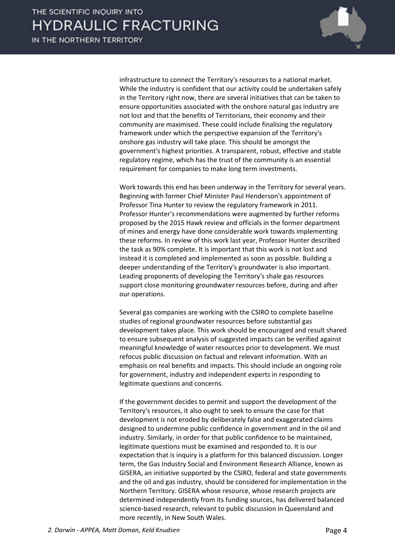

infrastructure to connect the Territory's resources to a national market. While the industry is confident that our activity could be undertaken safely in the Territory right now, there are several initiatives that can be taken to ensure opportunities associated with the onshore natural gas industry are not lost and that the benefits of Territorians, their economy and their community are maximised. These could include finalising the regulatory framework under which the perspective expansion of the Territory's onshore gas industry will take place. This should be amongst the government's highest priorities. A transparent, robust, effective and stable regulatory regime, which has the trust of the community is an essential requirement for companies to make long term investments.

Work towards this end has been underway in the Territory for several years. Beginning with former Chief Minister Paul Henderson's appointment of Professor Tina Hunter to review the regulatory framework in 2011. Professor Hunter's recommendations were augmented by further reforms proposed by the 2015 Hawk review and officials in the former department of mines and energy have done considerable work towards implementing these reforms. In review of this work last year, Professor Hunter described the task as 90% complete. It is important that this work is not lost and instead it is completed and implemented as soon as possible. Building a deeper understanding of the Territory's groundwater is also important. Leading proponents of developing the Territory's shale gas resources support close monitoring groundwater resources before, during and after our operations.

Several gas companies are working with the CSIRO to complete baseline studies of regional groundwater resources before substantial gas development takes place. This work should be encouraged and result shared to ensure subsequent analysis of suggested impacts can be verified against meaningful knowledge of water resources prior to development. We must refocus public discussion on factual and relevant information. With an emphasis on real benefits and impacts. This should include an ongoing role for government, industry and independent experts in responding to legitimate questions and concerns.

If the government decides to permit and support the development of the Territory's resources, it also ought to seek to ensure the case for that development is not eroded by deliberately false and exaggerated claims designed to undermine public confidence in government and in the oil and industry. Similarly, in order for that public confidence to be maintained, legitimate questions must be examined and responded to. It is our expectation that is inquiry is a platform for this balanced discussion. Longer term, the Gas Industry Social and Environment Research Alliance, known as GISERA, an initiative supported by the CSIRO, federal and state governments and the oil and gas industry, should be considered for implementation in the Northern Territory. GISERA whose resource, whose research projects are determined independently from its funding sources, has delivered balanced science-based research, relevant to public discussion in Queensland and more recently, in New South Wales.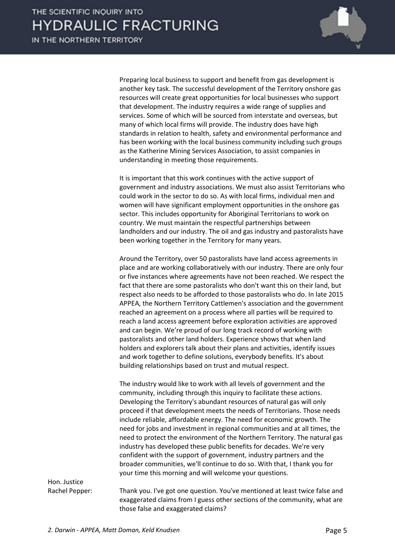

Preparing local business to support and benefit from gas development is another key task. The successful development of the Territory onshore gas resources will create great opportunities for local businesses who support that development. The industry requires a wide range of supplies and services. Some of which will be sourced from interstate and overseas, but many of which local firms will provide. The industry does have high standards in relation to health, safety and environmental performance and has been working with the local business community including such groups as the Katherine Mining Services Association, to assist companies in understanding in meeting those requirements.

It is important that this work continues with the active support of government and industry associations. We must also assist Territorians who could work in the sector to do so. As with local firms, individual men and women will have significant employment opportunities in the onshore gas sector. This includes opportunity for Aboriginal Territorians to work on country. We must maintain the respectful partnerships between landholders and our industry. The oil and gas industry and pastoralists have been working together in the Territory for many years.

Around the Territory, over 50 pastoralists have land access agreements in place and are working collaboratively with our industry. There are only four or five instances where agreements have not been reached. We respect the fact that there are some pastoralists who don't want this on their land, but respect also needs to be afforded to those pastoralists who do. In late 2015 APPEA, the Northern Territory Cattlemen's association and the government reached an agreement on a process where all parties will be required to reach a land access agreement before exploration activities are approved and can begin. We're proud of our long track record of working with pastoralists and other land holders. Experience shows that when land holders and explorers talk about their plans and activities, identify issues and work together to define solutions, everybody benefits. It's about building relationships based on trust and mutual respect.

The industry would like to work with all levels of government and the community, including through this inquiry to facilitate these actions. Developing the Territory's abundant resources of natural gas will only proceed if that development meets the needs of Territorians. Those needs include reliable, affordable energy. The need for economic growth. The need for jobs and investment in regional communities and at all times, the need to protect the environment of the Northern Territory. The natural gas industry has developed these public benefits for decades. We're very confident with the support of government, industry partners and the broader communities, we'll continue to do so. With that, I thank you for your time this morning and will welcome your questions.

Hon. Justice

Rachel Pepper: Thank you. I've got one question. You've mentioned at least twice false and exaggerated claims from I guess other sections of the community, what are those false and exaggerated claims?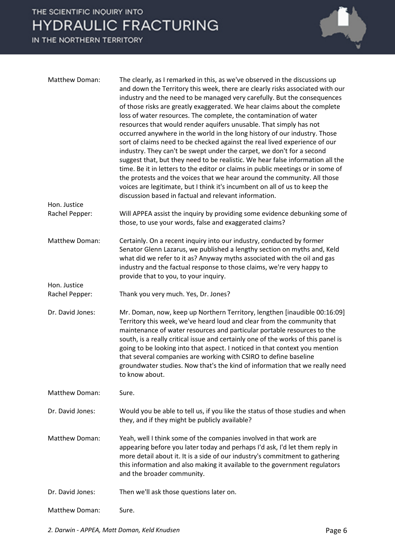

| Matthew Doman:                 | The clearly, as I remarked in this, as we've observed in the discussions up<br>and down the Territory this week, there are clearly risks associated with our<br>industry and the need to be managed very carefully. But the consequences<br>of those risks are greatly exaggerated. We hear claims about the complete<br>loss of water resources. The complete, the contamination of water<br>resources that would render aquifers unusable. That simply has not<br>occurred anywhere in the world in the long history of our industry. Those<br>sort of claims need to be checked against the real lived experience of our<br>industry. They can't be swept under the carpet, we don't for a second<br>suggest that, but they need to be realistic. We hear false information all the<br>time. Be it in letters to the editor or claims in public meetings or in some of<br>the protests and the voices that we hear around the community. All those<br>voices are legitimate, but I think it's incumbent on all of us to keep the<br>discussion based in factual and relevant information. |
|--------------------------------|----------------------------------------------------------------------------------------------------------------------------------------------------------------------------------------------------------------------------------------------------------------------------------------------------------------------------------------------------------------------------------------------------------------------------------------------------------------------------------------------------------------------------------------------------------------------------------------------------------------------------------------------------------------------------------------------------------------------------------------------------------------------------------------------------------------------------------------------------------------------------------------------------------------------------------------------------------------------------------------------------------------------------------------------------------------------------------------------|
| Hon. Justice<br>Rachel Pepper: | Will APPEA assist the inquiry by providing some evidence debunking some of<br>those, to use your words, false and exaggerated claims?                                                                                                                                                                                                                                                                                                                                                                                                                                                                                                                                                                                                                                                                                                                                                                                                                                                                                                                                                        |
| Matthew Doman:                 | Certainly. On a recent inquiry into our industry, conducted by former<br>Senator Glenn Lazarus, we published a lengthy section on myths and, Keld<br>what did we refer to it as? Anyway myths associated with the oil and gas<br>industry and the factual response to those claims, we're very happy to<br>provide that to you, to your inquiry.                                                                                                                                                                                                                                                                                                                                                                                                                                                                                                                                                                                                                                                                                                                                             |
| Hon. Justice<br>Rachel Pepper: | Thank you very much. Yes, Dr. Jones?                                                                                                                                                                                                                                                                                                                                                                                                                                                                                                                                                                                                                                                                                                                                                                                                                                                                                                                                                                                                                                                         |
| Dr. David Jones:               | Mr. Doman, now, keep up Northern Territory, lengthen [inaudible 00:16:09]<br>Territory this week, we've heard loud and clear from the community that<br>maintenance of water resources and particular portable resources to the<br>south, is a really critical issue and certainly one of the works of this panel is<br>going to be looking into that aspect. I noticed in that context you mention<br>that several companies are working with CSIRO to define baseline<br>groundwater studies. Now that's the kind of information that we really need<br>to know about.                                                                                                                                                                                                                                                                                                                                                                                                                                                                                                                     |
| Matthew Doman:                 | Sure.                                                                                                                                                                                                                                                                                                                                                                                                                                                                                                                                                                                                                                                                                                                                                                                                                                                                                                                                                                                                                                                                                        |
| Dr. David Jones:               | Would you be able to tell us, if you like the status of those studies and when<br>they, and if they might be publicly available?                                                                                                                                                                                                                                                                                                                                                                                                                                                                                                                                                                                                                                                                                                                                                                                                                                                                                                                                                             |
| <b>Matthew Doman:</b>          | Yeah, well I think some of the companies involved in that work are<br>appearing before you later today and perhaps I'd ask, I'd let them reply in<br>more detail about it. It is a side of our industry's commitment to gathering<br>this information and also making it available to the government regulators<br>and the broader community.                                                                                                                                                                                                                                                                                                                                                                                                                                                                                                                                                                                                                                                                                                                                                |
| Dr. David Jones:               | Then we'll ask those questions later on.                                                                                                                                                                                                                                                                                                                                                                                                                                                                                                                                                                                                                                                                                                                                                                                                                                                                                                                                                                                                                                                     |
| Matthew Doman:                 | Sure.                                                                                                                                                                                                                                                                                                                                                                                                                                                                                                                                                                                                                                                                                                                                                                                                                                                                                                                                                                                                                                                                                        |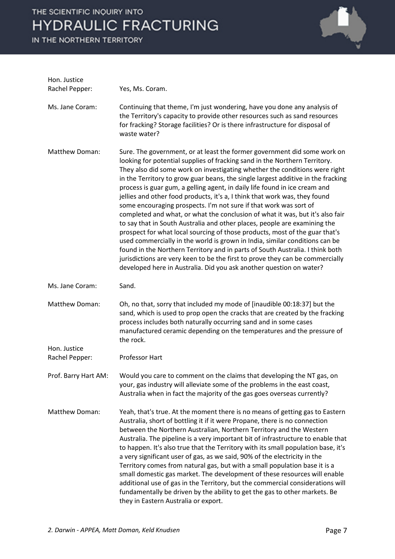

| Hon. Justice<br>Rachel Pepper: | Yes, Ms. Coram.                                                                                                                                                                                                                                                                                                                                                                                                                                                                                                                                                                                                                                                                                                                                                                                                                                                                                                                                                                                                                                                                                                                |
|--------------------------------|--------------------------------------------------------------------------------------------------------------------------------------------------------------------------------------------------------------------------------------------------------------------------------------------------------------------------------------------------------------------------------------------------------------------------------------------------------------------------------------------------------------------------------------------------------------------------------------------------------------------------------------------------------------------------------------------------------------------------------------------------------------------------------------------------------------------------------------------------------------------------------------------------------------------------------------------------------------------------------------------------------------------------------------------------------------------------------------------------------------------------------|
| Ms. Jane Coram:                | Continuing that theme, I'm just wondering, have you done any analysis of<br>the Territory's capacity to provide other resources such as sand resources<br>for fracking? Storage facilities? Or is there infrastructure for disposal of<br>waste water?                                                                                                                                                                                                                                                                                                                                                                                                                                                                                                                                                                                                                                                                                                                                                                                                                                                                         |
| Matthew Doman:                 | Sure. The government, or at least the former government did some work on<br>looking for potential supplies of fracking sand in the Northern Territory.<br>They also did some work on investigating whether the conditions were right<br>in the Territory to grow guar beans, the single largest additive in the fracking<br>process is guar gum, a gelling agent, in daily life found in ice cream and<br>jellies and other food products, it's a, I think that work was, they found<br>some encouraging prospects. I'm not sure if that work was sort of<br>completed and what, or what the conclusion of what it was, but it's also fair<br>to say that in South Australia and other places, people are examining the<br>prospect for what local sourcing of those products, most of the guar that's<br>used commercially in the world is grown in India, similar conditions can be<br>found in the Northern Territory and in parts of South Australia. I think both<br>jurisdictions are very keen to be the first to prove they can be commercially<br>developed here in Australia. Did you ask another question on water? |
| Ms. Jane Coram:                | Sand.                                                                                                                                                                                                                                                                                                                                                                                                                                                                                                                                                                                                                                                                                                                                                                                                                                                                                                                                                                                                                                                                                                                          |
| Matthew Doman:                 | Oh, no that, sorry that included my mode of [inaudible 00:18:37] but the<br>sand, which is used to prop open the cracks that are created by the fracking<br>process includes both naturally occurring sand and in some cases<br>manufactured ceramic depending on the temperatures and the pressure of<br>the rock.                                                                                                                                                                                                                                                                                                                                                                                                                                                                                                                                                                                                                                                                                                                                                                                                            |
| Hon. Justice<br>Rachel Pepper: | <b>Professor Hart</b>                                                                                                                                                                                                                                                                                                                                                                                                                                                                                                                                                                                                                                                                                                                                                                                                                                                                                                                                                                                                                                                                                                          |
|                                | Prof. Barry Hart AM: Would you care to comment on the claims that developing the NT gas, on<br>your, gas industry will alleviate some of the problems in the east coast,<br>Australia when in fact the majority of the gas goes overseas currently?                                                                                                                                                                                                                                                                                                                                                                                                                                                                                                                                                                                                                                                                                                                                                                                                                                                                            |
| Matthew Doman:                 | Yeah, that's true. At the moment there is no means of getting gas to Eastern<br>Australia, short of bottling it if it were Propane, there is no connection<br>between the Northern Australian, Northern Territory and the Western<br>Australia. The pipeline is a very important bit of infrastructure to enable that<br>to happen. It's also true that the Territory with its small population base, it's<br>a very significant user of gas, as we said, 90% of the electricity in the<br>Territory comes from natural gas, but with a small population base it is a<br>small domestic gas market. The development of these resources will enable<br>additional use of gas in the Territory, but the commercial considerations will<br>fundamentally be driven by the ability to get the gas to other markets. Be<br>they in Eastern Australia or export.                                                                                                                                                                                                                                                                     |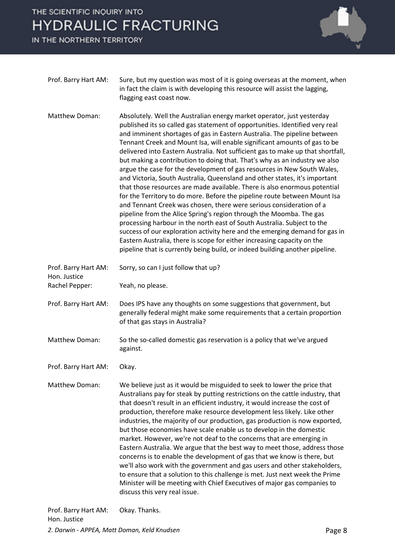IN THE NORTHERN TERRITORY



| Prof. Barry Hart AM: | Sure, but my question was most of it is going overseas at the moment, when<br>in fact the claim is with developing this resource will assist the lagging,<br>flagging east coast now.                                              |
|----------------------|------------------------------------------------------------------------------------------------------------------------------------------------------------------------------------------------------------------------------------|
| Matthew Doman:       | Absolutely. Well the Australian energy market operator, just yesterday<br>published its so called gas statement of opportunities. Identified very real<br>and imminent shortages of gas in Eastern Australia. The pipeline between |

Tennant Creek and Mount Isa, will enable significant amounts of gas to be delivered into Eastern Australia. Not sufficient gas to make up that shortfall, but making a contribution to doing that. That's why as an industry we also argue the case for the development of gas resources in New South Wales, and Victoria, South Australia, Queensland and other states, it's important that those resources are made available. There is also enormous potential for the Territory to do more. Before the pipeline route between Mount Isa and Tennant Creek was chosen, there were serious consideration of a pipeline from the Alice Spring's region through the Moomba. The gas processing harbour in the north east of South Australia. Subject to the success of our exploration activity here and the emerging demand for gas in Eastern Australia, there is scope for either increasing capacity on the pipeline that is currently being build, or indeed building another pipeline.

Prof. Barry Hart AM: Sorry, so can I just follow that up? Hon. Justice Rachel Pepper: Yeah, no please. Prof. Barry Hart AM: Does IPS have any thoughts on some suggestions that government, but

generally federal might make some requirements that a certain proportion of that gas stays in Australia?

- Matthew Doman: So the so-called domestic gas reservation is a policy that we've argued against.
- Prof. Barry Hart AM: Okay.
- Matthew Doman: We believe just as it would be misguided to seek to lower the price that Australians pay for steak by putting restrictions on the cattle industry, that that doesn't result in an efficient industry, it would increase the cost of production, therefore make resource development less likely. Like other industries, the majority of our production, gas production is now exported, but those economies have scale enable us to develop in the domestic market. However, we're not deaf to the concerns that are emerging in Eastern Australia. We argue that the best way to meet those, address those concerns is to enable the development of gas that we know is there, but we'll also work with the government and gas users and other stakeholders, to ensure that a solution to this challenge is met. Just next week the Prime Minister will be meeting with Chief Executives of major gas companies to discuss this very real issue.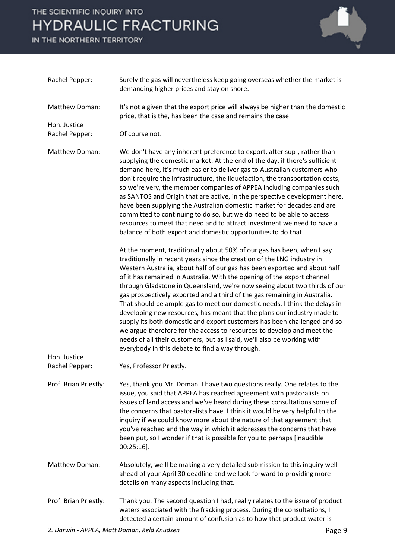

| Rachel Pepper:                 | Surely the gas will nevertheless keep going overseas whether the market is<br>demanding higher prices and stay on shore.                                                                                                                                                                                                                                                                                                                                                                                                                                                                                                                                                                                                                                                                                                                                                                                         |
|--------------------------------|------------------------------------------------------------------------------------------------------------------------------------------------------------------------------------------------------------------------------------------------------------------------------------------------------------------------------------------------------------------------------------------------------------------------------------------------------------------------------------------------------------------------------------------------------------------------------------------------------------------------------------------------------------------------------------------------------------------------------------------------------------------------------------------------------------------------------------------------------------------------------------------------------------------|
| Matthew Doman:                 | It's not a given that the export price will always be higher than the domestic<br>price, that is the, has been the case and remains the case.                                                                                                                                                                                                                                                                                                                                                                                                                                                                                                                                                                                                                                                                                                                                                                    |
| Hon. Justice<br>Rachel Pepper: | Of course not.                                                                                                                                                                                                                                                                                                                                                                                                                                                                                                                                                                                                                                                                                                                                                                                                                                                                                                   |
| Matthew Doman:                 | We don't have any inherent preference to export, after sup-, rather than<br>supplying the domestic market. At the end of the day, if there's sufficient<br>demand here, it's much easier to deliver gas to Australian customers who<br>don't require the infrastructure, the liquefaction, the transportation costs,<br>so we're very, the member companies of APPEA including companies such<br>as SANTOS and Origin that are active, in the perspective development here,<br>have been supplying the Australian domestic market for decades and are<br>committed to continuing to do so, but we do need to be able to access<br>resources to meet that need and to attract investment we need to have a<br>balance of both export and domestic opportunities to do that.                                                                                                                                       |
|                                | At the moment, traditionally about 50% of our gas has been, when I say<br>traditionally in recent years since the creation of the LNG industry in<br>Western Australia, about half of our gas has been exported and about half<br>of it has remained in Australia. With the opening of the export channel<br>through Gladstone in Queensland, we're now seeing about two thirds of our<br>gas prospectively exported and a third of the gas remaining in Australia.<br>That should be ample gas to meet our domestic needs. I think the delays in<br>developing new resources, has meant that the plans our industry made to<br>supply its both domestic and export customers has been challenged and so<br>we argue therefore for the access to resources to develop and meet the<br>needs of all their customers, but as I said, we'll also be working with<br>everybody in this debate to find a way through. |
| Hon. Justice<br>Rachel Pepper: | Yes, Professor Priestly.                                                                                                                                                                                                                                                                                                                                                                                                                                                                                                                                                                                                                                                                                                                                                                                                                                                                                         |
| Prof. Brian Priestly:          | Yes, thank you Mr. Doman. I have two questions really. One relates to the<br>issue, you said that APPEA has reached agreement with pastoralists on<br>issues of land access and we've heard during these consultations some of<br>the concerns that pastoralists have. I think it would be very helpful to the<br>inquiry if we could know more about the nature of that agreement that<br>you've reached and the way in which it addresses the concerns that have<br>been put, so I wonder if that is possible for you to perhaps [inaudible<br>$00:25:16$ ].                                                                                                                                                                                                                                                                                                                                                   |
| <b>Matthew Doman:</b>          | Absolutely, we'll be making a very detailed submission to this inquiry well<br>ahead of your April 30 deadline and we look forward to providing more<br>details on many aspects including that.                                                                                                                                                                                                                                                                                                                                                                                                                                                                                                                                                                                                                                                                                                                  |
| Prof. Brian Priestly:          | Thank you. The second question I had, really relates to the issue of product<br>waters associated with the fracking process. During the consultations, I<br>detected a certain amount of confusion as to how that product water is                                                                                                                                                                                                                                                                                                                                                                                                                                                                                                                                                                                                                                                                               |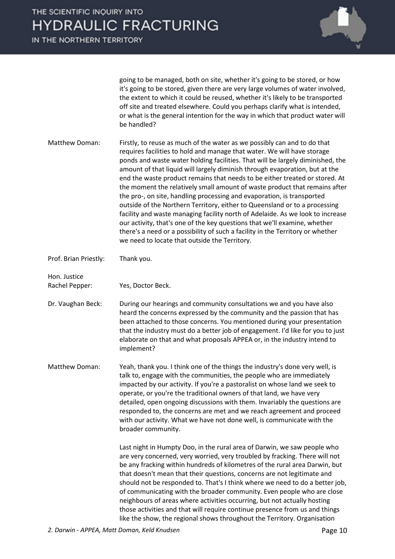

going to be managed, both on site, whether it's going to be stored, or how it's going to be stored, given there are very large volumes of water involved, the extent to which it could be reused, whether it's likely to be transported off site and treated elsewhere. Could you perhaps clarify what is intended, or what is the general intention for the way in which that product water will be handled?

Matthew Doman: Firstly, to reuse as much of the water as we possibly can and to do that requires facilities to hold and manage that water. We will have storage ponds and waste water holding facilities. That will be largely diminished, the amount of that liquid will largely diminish through evaporation, but at the end the waste product remains that needs to be either treated or stored. At the moment the relatively small amount of waste product that remains after the pro-, on site, handling processing and evaporation, is transported outside of the Northern Territory, either to Queensland or to a processing facility and waste managing facility north of Adelaide. As we look to increase our activity, that's one of the key questions that we'll examine, whether there's a need or a possibility of such a facility in the Territory or whether we need to locate that outside the Territory.

Prof. Brian Priestly: Thank you.

Hon. Justice

Rachel Pepper: Yes, Doctor Beck.

Dr. Vaughan Beck: During our hearings and community consultations we and you have also heard the concerns expressed by the community and the passion that has been attached to those concerns. You mentioned during your presentation that the industry must do a better job of engagement. I'd like for you to just elaborate on that and what proposals APPEA or, in the industry intend to implement?

Matthew Doman: Yeah, thank you. I think one of the things the industry's done very well, is talk to, engage with the communities, the people who are immediately impacted by our activity. If you're a pastoralist on whose land we seek to operate, or you're the traditional owners of that land, we have very detailed, open ongoing discussions with them. Invariably the questions are responded to, the concerns are met and we reach agreement and proceed with our activity. What we have not done well, is communicate with the broader community.

> Last night in Humpty Doo, in the rural area of Darwin, we saw people who are very concerned, very worried, very troubled by fracking. There will not be any fracking within hundreds of kilometres of the rural area Darwin, but that doesn't mean that their questions, concerns are not legitimate and should not be responded to. That's I think where we need to do a better job, of communicating with the broader community. Even people who are close neighbours of areas where activities occurring, but not actually hosting those activities and that will require continue presence from us and things like the show, the regional shows throughout the Territory. Organisation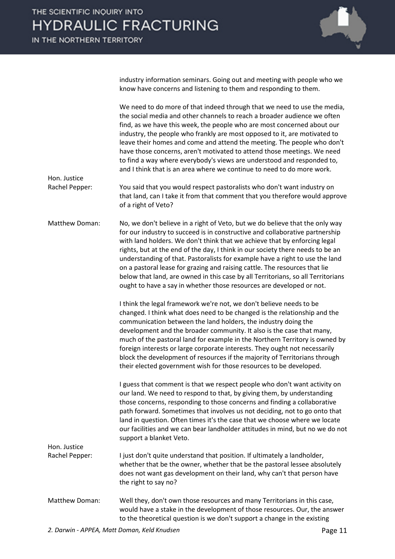IN THE NORTHERN TERRITORY

Hon. Justice

Hon. Justice



industry information seminars. Going out and meeting with people who we know have concerns and listening to them and responding to them.

We need to do more of that indeed through that we need to use the media, the social media and other channels to reach a broader audience we often find, as we have this week, the people who are most concerned about our industry, the people who frankly are most opposed to it, are motivated to leave their homes and come and attend the meeting. The people who don't have those concerns, aren't motivated to attend those meetings. We need to find a way where everybody's views are understood and responded to, and I think that is an area where we continue to need to do more work.

Rachel Pepper: You said that you would respect pastoralists who don't want industry on that land, can I take it from that comment that you therefore would approve of a right of Veto?

Matthew Doman: No, we don't believe in a right of Veto, but we do believe that the only way for our industry to succeed is in constructive and collaborative partnership with land holders. We don't think that we achieve that by enforcing legal rights, but at the end of the day, I think in our society there needs to be an understanding of that. Pastoralists for example have a right to use the land on a pastoral lease for grazing and raising cattle. The resources that lie below that land, are owned in this case by all Territorians, so all Territorians ought to have a say in whether those resources are developed or not.

> I think the legal framework we're not, we don't believe needs to be changed. I think what does need to be changed is the relationship and the communication between the land holders, the industry doing the development and the broader community. It also is the case that many, much of the pastoral land for example in the Northern Territory is owned by foreign interests or large corporate interests. They ought not necessarily block the development of resources if the majority of Territorians through their elected government wish for those resources to be developed.

I guess that comment is that we respect people who don't want activity on our land. We need to respond to that, by giving them, by understanding those concerns, responding to those concerns and finding a collaborative path forward. Sometimes that involves us not deciding, not to go onto that land in question. Often times it's the case that we choose where we locate our facilities and we can bear landholder attitudes in mind, but no we do not support a blanket Veto.

Rachel Pepper: I just don't quite understand that position. If ultimately a landholder, whether that be the owner, whether that be the pastoral lessee absolutely does not want gas development on their land, why can't that person have the right to say no?

Matthew Doman: Well they, don't own those resources and many Territorians in this case, would have a stake in the development of those resources. Our, the answer to the theoretical question is we don't support a change in the existing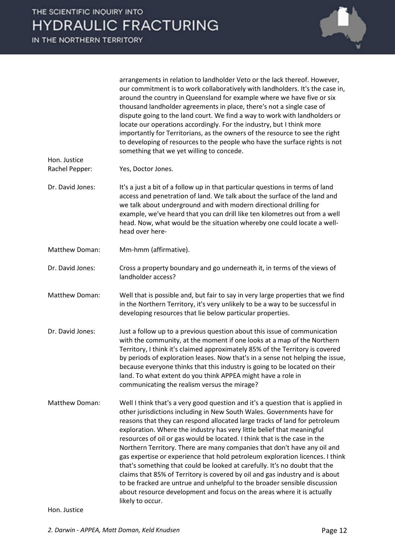

arrangements in relation to landholder Veto or the lack thereof. However, our commitment is to work collaboratively with landholders. It's the case in, around the country in Queensland for example where we have five or six thousand landholder agreements in place, there's not a single case of dispute going to the land court. We find a way to work with landholders or locate our operations accordingly. For the industry, but I think more importantly for Territorians, as the owners of the resource to see the right to developing of resources to the people who have the surface rights is not something that we yet willing to concede. Hon. Justice Rachel Pepper: Yes, Doctor Jones. Dr. David Jones: It's a just a bit of a follow up in that particular questions in terms of land access and penetration of land. We talk about the surface of the land and we talk about underground and with modern directional drilling for example, we've heard that you can drill like ten kilometres out from a well head. Now, what would be the situation whereby one could locate a wellhead over here-

- Matthew Doman: Mm-hmm (affirmative).
- Dr. David Jones: Cross a property boundary and go underneath it, in terms of the views of landholder access?
- Matthew Doman: Well that is possible and, but fair to say in very large properties that we find in the Northern Territory, it's very unlikely to be a way to be successful in developing resources that lie below particular properties.
- Dr. David Jones: Just a follow up to a previous question about this issue of communication with the community, at the moment if one looks at a map of the Northern Territory, I think it's claimed approximately 85% of the Territory is covered by periods of exploration leases. Now that's in a sense not helping the issue, because everyone thinks that this industry is going to be located on their land. To what extent do you think APPEA might have a role in communicating the realism versus the mirage?
- Matthew Doman: Well I think that's a very good question and it's a question that is applied in other jurisdictions including in New South Wales. Governments have for reasons that they can respond allocated large tracks of land for petroleum exploration. Where the industry has very little belief that meaningful resources of oil or gas would be located. I think that is the case in the Northern Territory. There are many companies that don't have any oil and gas expertise or experience that hold petroleum exploration licences. I think that's something that could be looked at carefully. It's no doubt that the claims that 85% of Territory is covered by oil and gas industry and is about to be fracked are untrue and unhelpful to the broader sensible discussion about resource development and focus on the areas where it is actually likely to occur.

Hon. Justice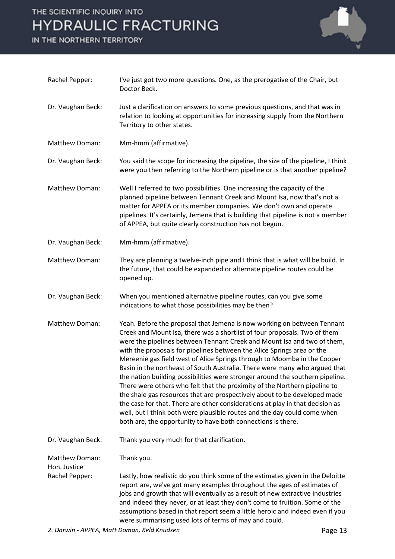

| Rachel Pepper:                 | I've just got two more questions. One, as the prerogative of the Chair, but<br>Doctor Beck.                                                                                                                                                                                                                                                                                                                                                                                                                                                                                                                                                                                                                                                                                                                                                                                                                                                 |
|--------------------------------|---------------------------------------------------------------------------------------------------------------------------------------------------------------------------------------------------------------------------------------------------------------------------------------------------------------------------------------------------------------------------------------------------------------------------------------------------------------------------------------------------------------------------------------------------------------------------------------------------------------------------------------------------------------------------------------------------------------------------------------------------------------------------------------------------------------------------------------------------------------------------------------------------------------------------------------------|
| Dr. Vaughan Beck:              | Just a clarification on answers to some previous questions, and that was in<br>relation to looking at opportunities for increasing supply from the Northern<br>Territory to other states.                                                                                                                                                                                                                                                                                                                                                                                                                                                                                                                                                                                                                                                                                                                                                   |
| Matthew Doman:                 | Mm-hmm (affirmative).                                                                                                                                                                                                                                                                                                                                                                                                                                                                                                                                                                                                                                                                                                                                                                                                                                                                                                                       |
| Dr. Vaughan Beck:              | You said the scope for increasing the pipeline, the size of the pipeline, I think<br>were you then referring to the Northern pipeline or is that another pipeline?                                                                                                                                                                                                                                                                                                                                                                                                                                                                                                                                                                                                                                                                                                                                                                          |
| Matthew Doman:                 | Well I referred to two possibilities. One increasing the capacity of the<br>planned pipeline between Tennant Creek and Mount Isa, now that's not a<br>matter for APPEA or its member companies. We don't own and operate<br>pipelines. It's certainly, Jemena that is building that pipeline is not a member<br>of APPEA, but quite clearly construction has not begun.                                                                                                                                                                                                                                                                                                                                                                                                                                                                                                                                                                     |
| Dr. Vaughan Beck:              | Mm-hmm (affirmative).                                                                                                                                                                                                                                                                                                                                                                                                                                                                                                                                                                                                                                                                                                                                                                                                                                                                                                                       |
| Matthew Doman:                 | They are planning a twelve-inch pipe and I think that is what will be build. In<br>the future, that could be expanded or alternate pipeline routes could be<br>opened up.                                                                                                                                                                                                                                                                                                                                                                                                                                                                                                                                                                                                                                                                                                                                                                   |
| Dr. Vaughan Beck:              | When you mentioned alternative pipeline routes, can you give some<br>indications to what those possibilities may be then?                                                                                                                                                                                                                                                                                                                                                                                                                                                                                                                                                                                                                                                                                                                                                                                                                   |
| Matthew Doman:                 | Yeah. Before the proposal that Jemena is now working on between Tennant<br>Creek and Mount Isa, there was a shortlist of four proposals. Two of them<br>were the pipelines between Tennant Creek and Mount Isa and two of them,<br>with the proposals for pipelines between the Alice Springs area or the<br>Mereenie gas field west of Alice Springs through to Moomba in the Cooper<br>Basin in the northeast of South Australia. There were many who argued that<br>the nation building possibilities were stronger around the southern pipeline.<br>There were others who felt that the proximity of the Northern pipeline to<br>the shale gas resources that are prospectively about to be developed made<br>the case for that. There are other considerations at play in that decision as<br>well, but I think both were plausible routes and the day could come when<br>both are, the opportunity to have both connections is there. |
| Dr. Vaughan Beck:              | Thank you very much for that clarification.                                                                                                                                                                                                                                                                                                                                                                                                                                                                                                                                                                                                                                                                                                                                                                                                                                                                                                 |
| Matthew Doman:<br>Hon. Justice | Thank you.                                                                                                                                                                                                                                                                                                                                                                                                                                                                                                                                                                                                                                                                                                                                                                                                                                                                                                                                  |
| Rachel Pepper:                 | Lastly, how realistic do you think some of the estimates given in the Deloitte<br>report are, we've got many examples throughout the ages of estimates of<br>jobs and growth that will eventually as a result of new extractive industries<br>and indeed they never, or at least they don't come to fruition. Some of the<br>assumptions based in that report seem a little heroic and indeed even if you<br>were summarising used lots of terms of may and could.                                                                                                                                                                                                                                                                                                                                                                                                                                                                          |